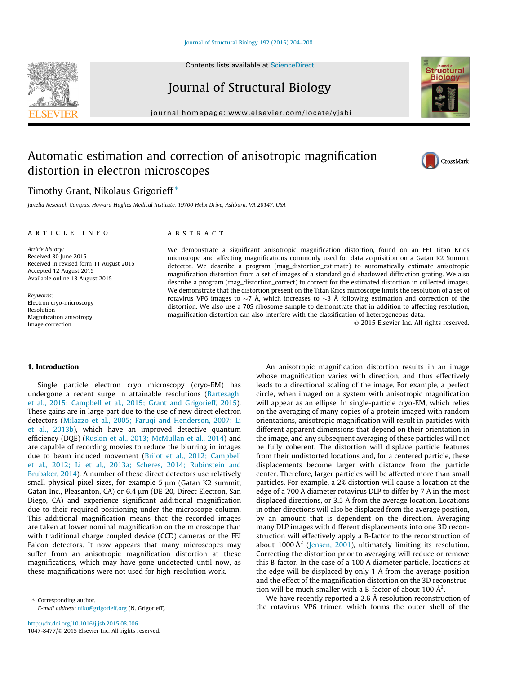Journal of Structural Biology

journal homepage: [www.elsevier.com/locate/yjsbi](http://www.elsevier.com/locate/yjsbi)

# Automatic estimation and correction of anisotropic magnification distortion in electron microscopes

# Timothy Grant, Nikolaus Grigorieff<sup>\*</sup>

Janelia Research Campus, Howard Hughes Medical Institute, 19700 Helix Drive, Ashburn, VA 20147, USA

## article info

Article history: Received 30 June 2015 Received in revised form 11 August 2015 Accepted 12 August 2015 Available online 13 August 2015

Keywords: Electron cryo-microscopy Resolution Magnification anisotropy Image correction

## ABSTRACT

We demonstrate a significant anisotropic magnification distortion, found on an FEI Titan Krios microscope and affecting magnifications commonly used for data acquisition on a Gatan K2 Summit detector. We describe a program (mag\_distortion\_estimate) to automatically estimate anisotropic magnification distortion from a set of images of a standard gold shadowed diffraction grating. We also describe a program (mag\_distortion\_correct) to correct for the estimated distortion in collected images. We demonstrate that the distortion present on the Titan Krios microscope limits the resolution of a set of rotavirus VP6 images to  $\sim$ 7 Å, which increases to  $\sim$ 3 Å following estimation and correction of the distortion. We also use a 70S ribosome sample to demonstrate that in addition to affecting resolution, magnification distortion can also interfere with the classification of heterogeneous data.

2015 Elsevier Inc. All rights reserved.

#### 1. Introduction

Single particle electron cryo microscopy (cryo-EM) has undergone a recent surge in attainable resolutions [\(Bartesaghi](#page-4-0) [et al., 2015; Campbell et al., 2015; Grant and Grigorieff, 2015\)](#page-4-0). These gains are in large part due to the use of new direct electron detectors ([Milazzo et al., 2005; Faruqi and Henderson, 2007; Li](#page-4-0) [et al., 2013b\)](#page-4-0), which have an improved detective quantum efficiency (DQE) ([Ruskin et al., 2013; McMullan et al., 2014\)](#page-4-0) and are capable of recording movies to reduce the blurring in images due to beam induced movement ([Brilot et al., 2012; Campbell](#page-4-0) [et al., 2012; Li et al., 2013a; Scheres, 2014; Rubinstein and](#page-4-0) [Brubaker, 2014](#page-4-0)). A number of these direct detectors use relatively small physical pixel sizes, for example  $5 \mu m$  (Gatan K2 summit, Gatan Inc., Pleasanton, CA) or 6.4 µm (DE-20, Direct Electron, San Diego, CA) and experience significant additional magnification due to their required positioning under the microscope column. This additional magnification means that the recorded images are taken at lower nominal magnification on the microscope than with traditional charge coupled device (CCD) cameras or the FEI Falcon detectors. It now appears that many microscopes may suffer from an anisotropic magnification distortion at these magnifications, which may have gone undetected until now, as these magnifications were not used for high-resolution work.

⇑ Corresponding author. E-mail address: [niko@grigorieff.org](mailto:niko@grigorieff.org) (N. Grigorieff).

An anisotropic magnification distortion results in an image whose magnification varies with direction, and thus effectively leads to a directional scaling of the image. For example, a perfect circle, when imaged on a system with anisotropic magnification will appear as an ellipse. In single-particle cryo-EM, which relies on the averaging of many copies of a protein imaged with random orientations, anisotropic magnification will result in particles with different apparent dimensions that depend on their orientation in the image, and any subsequent averaging of these particles will not be fully coherent. The distortion will displace particle features from their undistorted locations and, for a centered particle, these displacements become larger with distance from the particle center. Therefore, larger particles will be affected more than small particles. For example, a 2% distortion will cause a location at the edge of a 700 Å diameter rotavirus DLP to differ by 7 Å in the most displaced directions, or 3.5 Å from the average location. Locations in other directions will also be displaced from the average position, by an amount that is dependent on the direction. Averaging many DLP images with different displacements into one 3D reconstruction will effectively apply a B-factor to the reconstruction of about 1000  $\AA^2$  [\(Jensen, 2001](#page-4-0)), ultimately limiting its resolution. Correcting the distortion prior to averaging will reduce or remove this B-factor. In the case of a 100 Å diameter particle, locations at the edge will be displaced by only 1 Å from the average position and the effect of the magnification distortion on the 3D reconstruction will be much smaller with a B-factor of about 100  $\AA^2$ .

We have recently reported a 2.6 Å resolution reconstruction of the rotavirus VP6 trimer, which forms the outer shell of the





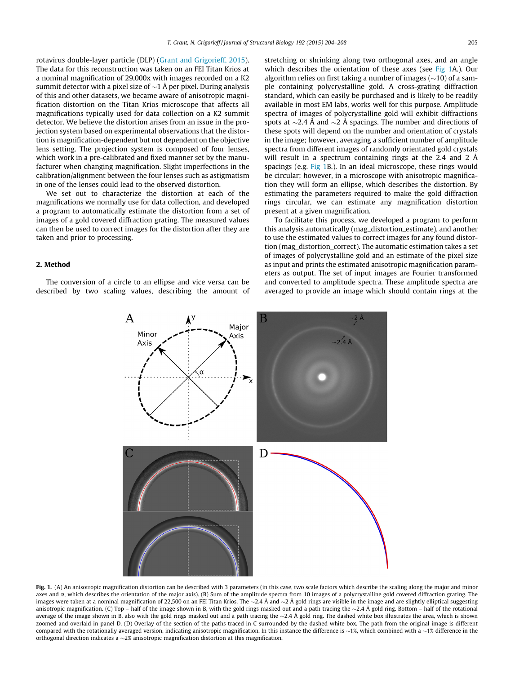<span id="page-1-0"></span>rotavirus double-layer particle (DLP) ([Grant and Grigorieff, 2015\)](#page-4-0). The data for this reconstruction was taken on an FEI Titan Krios at a nominal magnification of 29,000x with images recorded on a K2 summit detector with a pixel size of  $\sim$  1 Å per pixel. During analysis of this and other datasets, we became aware of anisotropic magnification distortion on the Titan Krios microscope that affects all magnifications typically used for data collection on a K2 summit detector. We believe the distortion arises from an issue in the projection system based on experimental observations that the distortion is magnification-dependent but not dependent on the objective lens setting. The projection system is composed of four lenses, which work in a pre-calibrated and fixed manner set by the manufacturer when changing magnification. Slight imperfections in the calibration/alignment between the four lenses such as astigmatism in one of the lenses could lead to the observed distortion.

We set out to characterize the distortion at each of the magnifications we normally use for data collection, and developed a program to automatically estimate the distortion from a set of images of a gold covered diffraction grating. The measured values can then be used to correct images for the distortion after they are taken and prior to processing.

#### 2. Method

The conversion of a circle to an ellipse and vice versa can be described by two scaling values, describing the amount of stretching or shrinking along two orthogonal axes, and an angle which describes the orientation of these axes (see Fig 1A.). Our algorithm relies on first taking a number of images  $(\sim 10)$  of a sample containing polycrystalline gold. A cross-grating diffraction standard, which can easily be purchased and is likely to be readily available in most EM labs, works well for this purpose. Amplitude spectra of images of polycrystalline gold will exhibit diffractions spots at  $\sim$ 2.4 Å and  $\sim$ 2 Å spacings. The number and directions of these spots will depend on the number and orientation of crystals in the image; however, averaging a sufficient number of amplitude spectra from different images of randomly orientated gold crystals will result in a spectrum containing rings at the 2.4 and 2 Å spacings (e.g. Fig 1B.). In an ideal microscope, these rings would be circular; however, in a microscope with anisotropic magnification they will form an ellipse, which describes the distortion. By estimating the parameters required to make the gold diffraction rings circular, we can estimate any magnification distortion present at a given magnification.

To facilitate this process, we developed a program to perform this analysis automatically (mag\_distortion\_estimate), and another to use the estimated values to correct images for any found distortion (mag\_distortion\_correct). The automatic estimation takes a set of images of polycrystalline gold and an estimate of the pixel size as input and prints the estimated anisotropic magnification parameters as output. The set of input images are Fourier transformed and converted to amplitude spectra. These amplitude spectra are averaged to provide an image which should contain rings at the



Fig. 1. (A) An anisotropic magnification distortion can be described with 3 parameters (in this case, two scale factors which describe the scaling along the major and minor axes and  $\alpha$ , which describes the orientation of the major axis). (B) Sum of the amplitude spectra from 10 images of a polycrystalline gold covered diffraction grating. The images were taken at a nominal magnification of 22,500 on an FEI Titan Krios. The  $\sim$ 2.4 Å and  $\sim$ 2 Å gold rings are visible in the image and are slightly elliptical suggesting anisotropic magnification. (C) Top – half of the image shown in B, with the gold rings masked out and a path tracing the  $\sim$  2.4 Å gold ring. Bottom – half of the rotational average of the image shown in B, also with the gold rings masked out and a path tracing the  $\sim$ 2.4 Å gold ring. The dashed white box illustrates the area, which is shown zoomed and overlaid in panel D. (D) Overlay of the section of the paths traced in C surrounded by the dashed white box. The path from the original image is different compared with the rotationally averaged version, indicating anisotropic magnification. In this instance the difference is  $\sim$ 1%, which combined with a  $\sim$ 1% difference in the orthogonal direction indicates a  $\sim$  2% anisotropic magnification distortion at this magnification.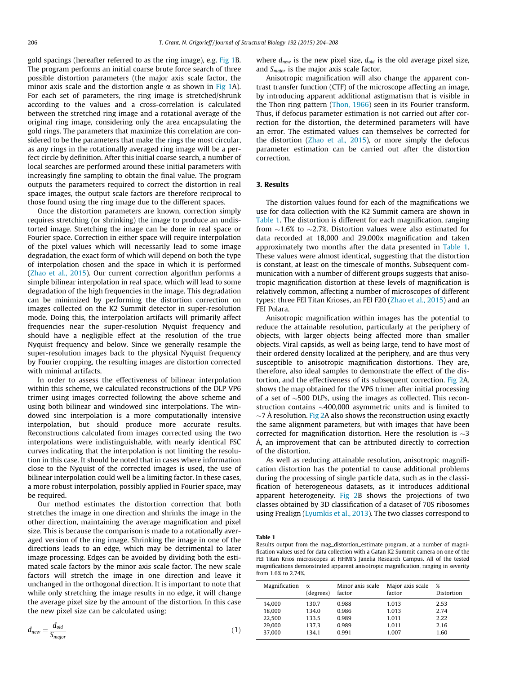gold spacings (hereafter referred to as the ring image), e.g. [Fig 1B](#page-1-0). The program performs an initial coarse brute force search of three possible distortion parameters (the major axis scale factor, the minor axis scale and the distortion angle  $\alpha$  as shown in [Fig 1](#page-1-0)A). For each set of parameters, the ring image is stretched/shrunk according to the values and a cross-correlation is calculated between the stretched ring image and a rotational average of the original ring image, considering only the area encapsulating the gold rings. The parameters that maximize this correlation are considered to be the parameters that make the rings the most circular, as any rings in the rotationally averaged ring image will be a perfect circle by definition. After this initial coarse search, a number of local searches are performed around these initial parameters with increasingly fine sampling to obtain the final value. The program outputs the parameters required to correct the distortion in real space images, the output scale factors are therefore reciprocal to those found using the ring image due to the different spaces.

Once the distortion parameters are known, correction simply requires stretching (or shrinking) the image to produce an undistorted image. Stretching the image can be done in real space or Fourier space. Correction in either space will require interpolation of the pixel values which will necessarily lead to some image degradation, the exact form of which will depend on both the type of interpolation chosen and the space in which it is performed ([Zhao et al., 2015\)](#page-4-0). Our current correction algorithm performs a simple bilinear interpolation in real space, which will lead to some degradation of the high frequencies in the image. This degradation can be minimized by performing the distortion correction on images collected on the K2 Summit detector in super-resolution mode. Doing this, the interpolation artifacts will primarily affect frequencies near the super-resolution Nyquist frequency and should have a negligible effect at the resolution of the true Nyquist frequency and below. Since we generally resample the super-resolution images back to the physical Nyquist frequency by Fourier cropping, the resulting images are distortion corrected with minimal artifacts.

In order to assess the effectiveness of bilinear interpolation within this scheme, we calculated reconstructions of the DLP VP6 trimer using images corrected following the above scheme and using both bilinear and windowed sinc interpolations. The windowed sinc interpolation is a more computationally intensive interpolation, but should produce more accurate results. Reconstructions calculated from images corrected using the two interpolations were indistinguishable, with nearly identical FSC curves indicating that the interpolation is not limiting the resolution in this case. It should be noted that in cases where information close to the Nyquist of the corrected images is used, the use of bilinear interpolation could well be a limiting factor. In these cases, a more robust interpolation, possibly applied in Fourier space, may be required.

Our method estimates the distortion correction that both stretches the image in one direction and shrinks the image in the other direction, maintaining the average magnification and pixel size. This is because the comparison is made to a rotationally averaged version of the ring image. Shrinking the image in one of the directions leads to an edge, which may be detrimental to later image processing. Edges can be avoided by dividing both the estimated scale factors by the minor axis scale factor. The new scale factors will stretch the image in one direction and leave it unchanged in the orthogonal direction. It is important to note that while only stretching the image results in no edge, it will change the average pixel size by the amount of the distortion. In this case the new pixel size can be calculated using:

$$
d_{new} = \frac{d_{old}}{S_{major}} \tag{1}
$$

where  $d_{new}$  is the new pixel size,  $d_{old}$  is the old average pixel size, and  $S<sub>major</sub>$  is the major axis scale factor.

Anisotropic magnification will also change the apparent contrast transfer function (CTF) of the microscope affecting an image, by introducing apparent additional astigmatism that is visible in the Thon ring pattern [\(Thon, 1966](#page-4-0)) seen in its Fourier transform. Thus, if defocus parameter estimation is not carried out after correction for the distortion, the determined parameters will have an error. The estimated values can themselves be corrected for the distortion ([Zhao et al., 2015](#page-4-0)), or more simply the defocus parameter estimation can be carried out after the distortion correction.

#### 3. Results

The distortion values found for each of the magnifications we use for data collection with the K2 Summit camera are shown in Table 1. The distortion is different for each magnification, ranging from  $\sim$ 1.6% to  $\sim$ 2.7%. Distortion values were also estimated for data recorded at 18,000 and 29,000x magnification and taken approximately two months after the data presented in Table 1. These values were almost identical, suggesting that the distortion is constant, at least on the timescale of months. Subsequent communication with a number of different groups suggests that anisotropic magnification distortion at these levels of magnification is relatively common, affecting a number of microscopes of different types: three FEI Titan Krioses, an FEI F20 ([Zhao et al., 2015\)](#page-4-0) and an FEI Polara.

Anisotropic magnification within images has the potential to reduce the attainable resolution, particularly at the periphery of objects, with larger objects being affected more than smaller objects. Viral capsids, as well as being large, tend to have most of their ordered density localized at the periphery, and are thus very susceptible to anisotropic magnification distortions. They are, therefore, also ideal samples to demonstrate the effect of the distortion, and the effectiveness of its subsequent correction. [Fig 2](#page-3-0)A. shows the map obtained for the VP6 trimer after initial processing of a set of  $\sim$ 500 DLPs, using the images as collected. This reconstruction contains  $\sim$  400,000 asymmetric units and is limited to  $\sim$ 7 Å resolution. [Fig 2](#page-3-0)A also shows the reconstruction using exactly the same alignment parameters, but with images that have been corrected for magnification distortion. Here the resolution is  $\sim$ 3 Å, an improvement that can be attributed directly to correction of the distortion.

As well as reducing attainable resolution, anisotropic magnification distortion has the potential to cause additional problems during the processing of single particle data, such as in the classification of heterogeneous datasets, as it introduces additional apparent heterogeneity. [Fig 2](#page-3-0)B shows the projections of two classes obtained by 3D classification of a dataset of 70S ribosomes using Frealign [\(Lyumkis et al., 2013\)](#page-4-0). The two classes correspond to

#### Table 1

Results output from the mag\_distortion\_estimate program, at a number of magnification values used for data collection with a Gatan K2 Summit camera on one of the FEI Titan Krios microscopes at HHMI's Janelia Research Campus. All of the tested magnifications demonstrated apparent anisotropic magnification, ranging in severity from 1.6% to 2.74%.

| Magnification | $\alpha$  | Minor axis scale | Major axis scale | %          |
|---------------|-----------|------------------|------------------|------------|
|               | (degrees) | factor           | factor           | Distortion |
|               |           |                  |                  |            |
| 14.000        | 130.7     | 0.988            | 1.013            | 2.53       |
| 18.000        | 134.0     | 0.986            | 1.013            | 2.74       |
| 22.500        | 133.5     | 0.989            | 1.011            | 2.22       |
| 29.000        | 137.3     | 0.989            | 1.011            | 2.16       |
| 37,000        | 134.1     | 0.991            | 1.007            | 1.60       |
|               |           |                  |                  |            |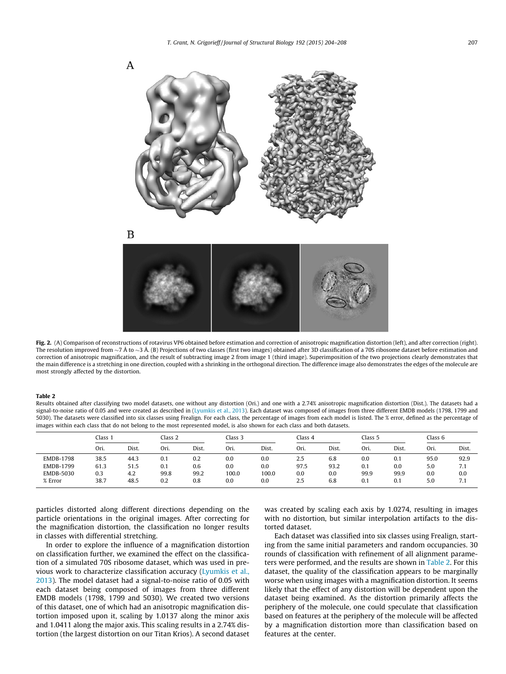<span id="page-3-0"></span>

Fig. 2. (A) Comparison of reconstructions of rotavirus VP6 obtained before estimation and correction of anisotropic magnification distortion (left), and after correction (right). The resolution improved from  $\sim$ 7 Å to  $\sim$ 3 Å. (B) Projections of two classes (first two images) obtained after 3D classification of a 70S ribosome dataset before estimation and correction of anisotropic magnification, and the result of subtracting image 2 from image 1 (third image). Superimposition of the two projections clearly demonstrates that the main difference is a stretching in one direction, coupled with a shrinking in the orthogonal direction. The difference image also demonstrates the edges of the molecule are most strongly affected by the distortion.

#### Table 2

Results obtained after classifying two model datasets, one without any distortion (Ori.) and one with a 2.74% anisotropic magnification distortion (Dist.). The datasets had a signal-to-noise ratio of 0.05 and were created as described in ([Lyumkis et al., 2013](#page-4-0)). Each dataset was composed of images from three different EMDB models (1798, 1799 and 5030). The datasets were classified into six classes using Frealign. For each class, the percentage of images from each model is listed. The % error, defined as the percentage of images within each class that do not belong to the most represented model, is also shown for each class and both datasets.

|                  | Class 1 |       | Class 2 |       | Class 3 |       | Class 4 |       | Class 5 |       | Class 6 |       |
|------------------|---------|-------|---------|-------|---------|-------|---------|-------|---------|-------|---------|-------|
|                  | Ori.    | Dist. | Ori.    | Dist. | Ori.    | Dist. | Ori.    | Dist. | Ori.    | Dist. | Ori.    | Dist. |
| <b>EMDB-1798</b> | 38.5    | 44.3  | 0.1     | 0.2   | 0.0     | 0.0   | 2.5     | 6.8   | 0.0     | 0.1   | 95.0    | 92.9  |
| EMDB-1799        | 61.3    | 51.5  | 0.1     | 0.6   | 0.0     | 0.0   | 97.5    | 93.2  | 0.1     | 0.0   | 5.0     | 7.1   |
| <b>EMDB-5030</b> | 0.3     | 4.2   | 99.8    | 99.2  | 100.0   | 100.0 | 0.0     | 0.0   | 99.9    | 99.9  | 0.0     | 0.0   |
| % Error          | 38.7    | 48.5  | 0.2     | 0.8   | 0.0     | 0.0   | 2.5     | 6.8   | 0.1     | 0.1   | 5.0     | 7.1   |

particles distorted along different directions depending on the particle orientations in the original images. After correcting for the magnification distortion, the classification no longer results in classes with differential stretching.

In order to explore the influence of a magnification distortion on classification further, we examined the effect on the classification of a simulated 70S ribosome dataset, which was used in previous work to characterize classification accuracy [\(Lyumkis et al.,](#page-4-0) [2013\)](#page-4-0). The model dataset had a signal-to-noise ratio of 0.05 with each dataset being composed of images from three different EMDB models (1798, 1799 and 5030). We created two versions of this dataset, one of which had an anisotropic magnification distortion imposed upon it, scaling by 1.0137 along the minor axis and 1.0411 along the major axis. This scaling results in a 2.74% distortion (the largest distortion on our Titan Krios). A second dataset

was created by scaling each axis by 1.0274, resulting in images with no distortion, but similar interpolation artifacts to the distorted dataset.

Each dataset was classified into six classes using Frealign, starting from the same initial parameters and random occupancies. 30 rounds of classification with refinement of all alignment parameters were performed, and the results are shown in Table 2. For this dataset, the quality of the classification appears to be marginally worse when using images with a magnification distortion. It seems likely that the effect of any distortion will be dependent upon the dataset being examined. As the distortion primarily affects the periphery of the molecule, one could speculate that classification based on features at the periphery of the molecule will be affected by a magnification distortion more than classification based on features at the center.